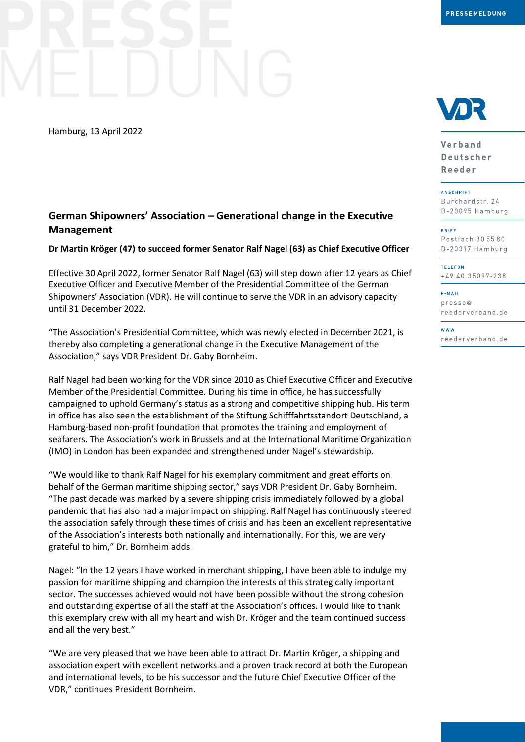Hamburg, 13 April 2022

# **German Shipowners' Association – Generational change in the Executive Management**

## **Dr Martin Kröger (47) to succeed former Senator Ralf Nagel (63) as Chief Executive Officer**

Effective 30 April 2022, former Senator Ralf Nagel (63) will step down after 12 years as Chief Executive Officer and Executive Member of the Presidential Committee of the German Shipowners' Association (VDR). He will continue to serve the VDR in an advisory capacity until 31 December 2022.

"The Association's Presidential Committee, which was newly elected in December 2021, is thereby also completing a generational change in the Executive Management of the Association," says VDR President Dr. Gaby Bornheim.

Ralf Nagel had been working for the VDR since 2010 as Chief Executive Officer and Executive Member of the Presidential Committee. During his time in office, he has successfully campaigned to uphold Germany's status as a strong and competitive shipping hub. His term in office has also seen the establishment of the Stiftung Schifffahrtsstandort Deutschland, a Hamburg-based non-profit foundation that promotes the training and employment of seafarers. The Association's work in Brussels and at the International Maritime Organization (IMO) in London has been expanded and strengthened under Nagel's stewardship.

"We would like to thank Ralf Nagel for his exemplary commitment and great efforts on behalf of the German maritime shipping sector," says VDR President Dr. Gaby Bornheim. "The past decade was marked by a severe shipping crisis immediately followed by a global pandemic that has also had a major impact on shipping. Ralf Nagel has continuously steered the association safely through these times of crisis and has been an excellent representative of the Association's interests both nationally and internationally. For this, we are very grateful to him," Dr. Bornheim adds.

Nagel: "In the 12 years I have worked in merchant shipping, I have been able to indulge my passion for maritime shipping and champion the interests of this strategically important sector. The successes achieved would not have been possible without the strong cohesion and outstanding expertise of all the staff at the Association's offices. I would like to thank this exemplary crew with all my heart and wish Dr. Kröger and the team continued success and all the very best."

"We are very pleased that we have been able to attract Dr. Martin Kröger, a shipping and association expert with excellent networks and a proven track record at both the European and international levels, to be his successor and the future Chief Executive Officer of the VDR," continues President Bornheim.



Verband **Deutscher** Reeder

**ANSCHRIFT** Burchardstr. 24 D-20095 Hamburg

BRIEF

Postfach 30 55 80 D-20317 Hamburg

**TELEFON** +49.40.35097-238

E-MAIL  $presee@$ reederverband.de

w w w reederverband.de